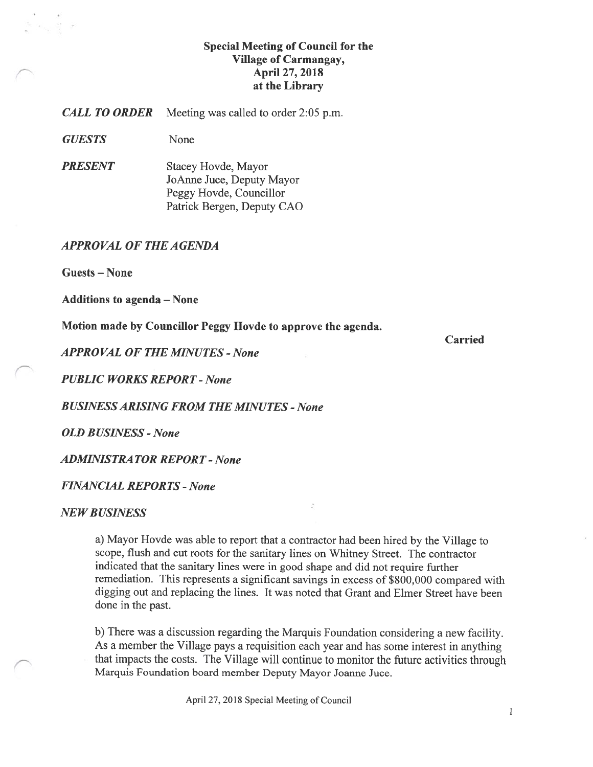# Special Meeting of Council for the Village of Carmangay, April 27, 2018 at the Library

**CALL TO ORDER** Meeting was called to order 2:05 p.m.

GUESTS None

**PRESENT** Stacey Hovde, Mayor JoAnne Juce, Deputy Mayor Peggy Hovde, Councillor Patrick Bergen, Deputy CAO

#### APPROVAL Of THE AGENDA

Guests — None

Additions to agenda — None

Motion made by Councillor Peggy Ilovde to approve the agenda.

APPROVAL OF THE MINUTES - None

PUBLIC WORKS REPORT - None

**BUSINESS ARISING FROM THE MINUTES - None** 

**OLD BUSINESS - None** 

**ADMINISTRATOR REPORT - None** 

#### FINANCIAL REPORTS -None

#### **NEW BUSINESS**

a) Mayor Hovde was able to report that a contractor had been hired by the Village to scope, flush and cut roots for the sanitary lines on Whitney Street. The contractor indicated that the sanitary lines were in good shape and did not require further remediation. This represents a significant savings in excess of S800,000 compared with digging out and replacing the lines. It was noted that Grant and Elmer Street have been done in the past.

b) There was a discussion regarding the Marquis Foundation considering a new facility. As a member the Village pays a requisition each year and has some interest in anything that impacts the costs. The Village will continue to monitor the future activities through Marquis foundation board member Deputy Mayor Joanne Juce.

April 27, 2018 Special Meeting of Council

Carried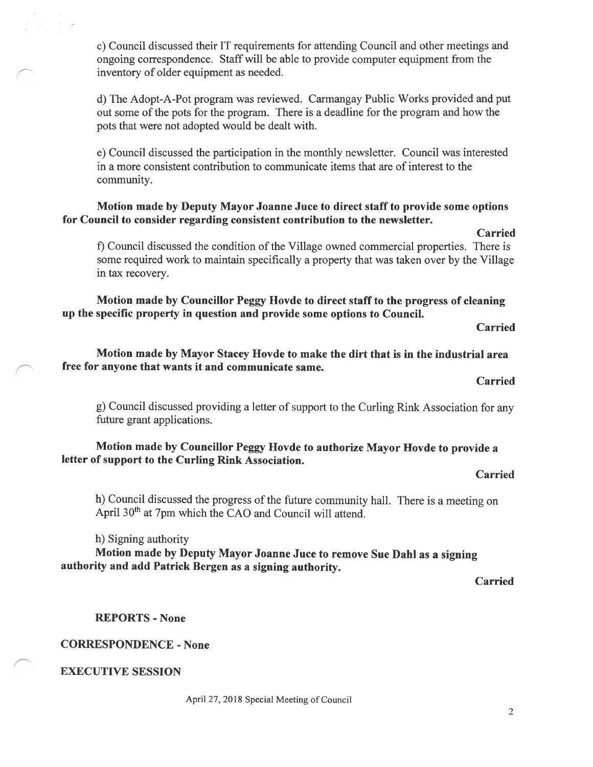c) Council discussed their IT requirements for attending Council and other meetings and ongoing correspondence. Staff will be able to provide computer equipment from the inventory of older equipment as needed.

d) The Adopt-A-Pot program was reviewed. Carmangay Public Works provided and put out some of the pots for the program. There is a deadline for the program and how the pots that were not adopted would be dealt with.

e) Council discussed the participation in the monthly newsletter. Council was interested in a more consistent contribution to communicate items that are of interest to the community.

### Motion made by Deputy Mayor Joanne Juce to direct staff to provide some options for Council to consider regarding consistent contribution to the newsletter.

f) Council discussed the condition of the Village owned commercial properties. There is some required work to maintain specifically a property that was taken over by the Village in tax recovery.

Motion made by Councillor Peggy Hovde to direct staff to the progress of cleaning up the specific property in question and provide some options to Council.

Carried

Carried

Motion made by Mayor Stacey Hovde to make the dirt that is in the industrial area free for anyone that wants it and communicate same.

Carried

g) Council discussed providing a letter of support to the Curling Rink Association for any future grant applications.

# Motion made by Councillor Peggy Hovde to authorize Mayor Hovde to provide a letter of support to the Curling Rink Association.

Carried

h) Council discussed the progress of the future community hall. There is a meeting on April 30<sup>th</sup> at 7pm which the CAO and Council will attend.

h) Signing authority

Motion made by Deputy Mayor Joanne Juce to remove Sue Dahl as a signing authority and add Patrick Bergen as a signing authority.

Carried

REPORTS - None

CORRESPONDENCE - None

EXECUTIVE SESSION

April 27, 2018 Special Meeting of Council